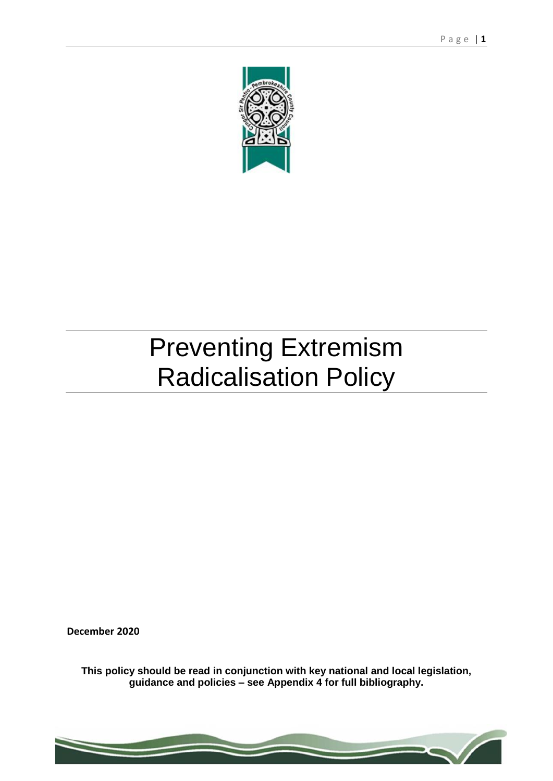

# Preventing Extremism Radicalisation Policy

**December 2020**

**This policy should be read in conjunction with key national and local legislation, guidance and policies – see Appendix 4 for full bibliography.**

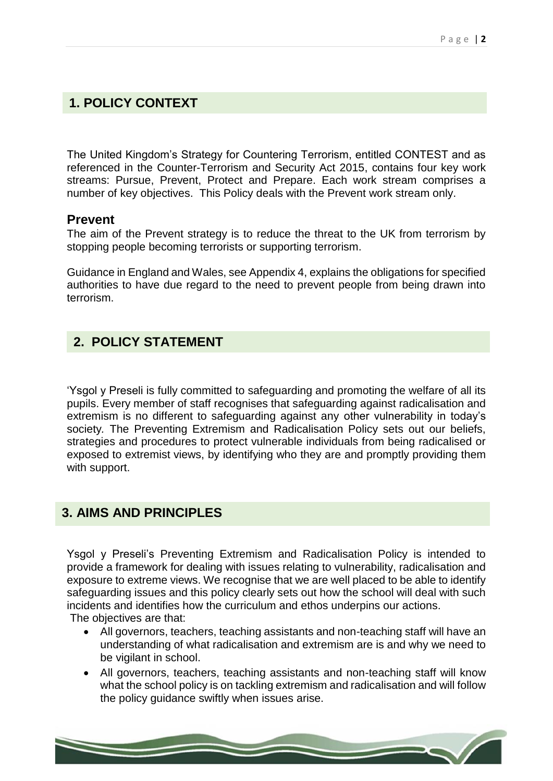## **1. POLICY CONTEXT**

The United Kingdom's Strategy for Countering Terrorism, entitled CONTEST and as referenced in the Counter-Terrorism and Security Act 2015, contains four key work streams: Pursue, Prevent, Protect and Prepare. Each work stream comprises a number of key objectives. This Policy deals with the Prevent work stream only.

#### **Prevent**

The aim of the Prevent strategy is to reduce the threat to the UK from terrorism by stopping people becoming terrorists or supporting terrorism.

Guidance in England and Wales, see Appendix 4, explains the obligations for specified authorities to have due regard to the need to prevent people from being drawn into terrorism.

# **2. POLICY STATEMENT**

'Ysgol y Preseli is fully committed to safeguarding and promoting the welfare of all its pupils. Every member of staff recognises that safeguarding against radicalisation and extremism is no different to safeguarding against any other vulnerability in today's society*.* The Preventing Extremism and Radicalisation Policy sets out our beliefs, strategies and procedures to protect vulnerable individuals from being radicalised or exposed to extremist views, by identifying who they are and promptly providing them with support.

## **3. AIMS AND PRINCIPLES**

Ysgol y Preseli's Preventing Extremism and Radicalisation Policy is intended to provide a framework for dealing with issues relating to vulnerability, radicalisation and exposure to extreme views. We recognise that we are well placed to be able to identify safeguarding issues and this policy clearly sets out how the school will deal with such incidents and identifies how the curriculum and ethos underpins our actions. The objectives are that:

- All governors, teachers, teaching assistants and non-teaching staff will have an understanding of what radicalisation and extremism are is and why we need to be vigilant in school.
- All governors, teachers, teaching assistants and non-teaching staff will know what the school policy is on tackling extremism and radicalisation and will follow the policy guidance swiftly when issues arise.

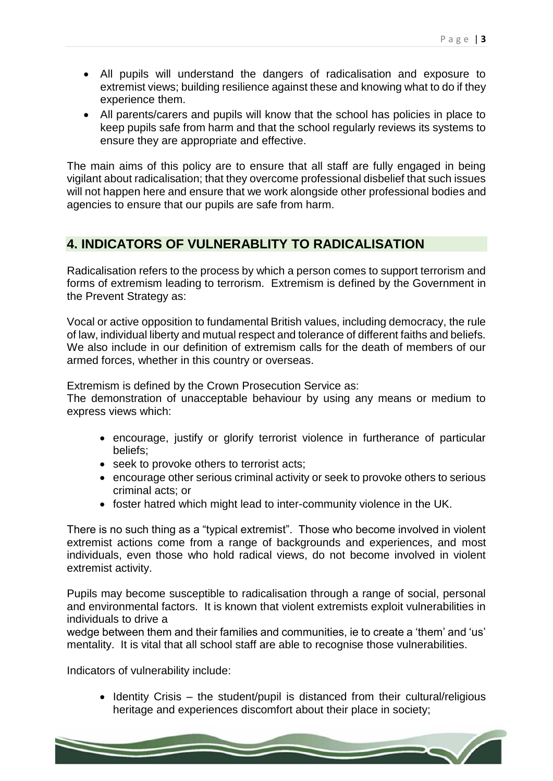- All pupils will understand the dangers of radicalisation and exposure to extremist views; building resilience against these and knowing what to do if they experience them.
- All parents/carers and pupils will know that the school has policies in place to keep pupils safe from harm and that the school regularly reviews its systems to ensure they are appropriate and effective.

The main aims of this policy are to ensure that all staff are fully engaged in being vigilant about radicalisation; that they overcome professional disbelief that such issues will not happen here and ensure that we work alongside other professional bodies and agencies to ensure that our pupils are safe from harm.

# **4. INDICATORS OF VULNERABLITY TO RADICALISATION**

Radicalisation refers to the process by which a person comes to support terrorism and forms of extremism leading to terrorism. Extremism is defined by the Government in the Prevent Strategy as:

Vocal or active opposition to fundamental British values, including democracy, the rule of law, individual liberty and mutual respect and tolerance of different faiths and beliefs. We also include in our definition of extremism calls for the death of members of our armed forces, whether in this country or overseas.

Extremism is defined by the Crown Prosecution Service as:

The demonstration of unacceptable behaviour by using any means or medium to express views which:

- encourage, justify or glorify terrorist violence in furtherance of particular beliefs;
- seek to provoke others to terrorist acts;
- encourage other serious criminal activity or seek to provoke others to serious criminal acts; or
- foster hatred which might lead to inter-community violence in the UK.

There is no such thing as a "typical extremist". Those who become involved in violent extremist actions come from a range of backgrounds and experiences, and most individuals, even those who hold radical views, do not become involved in violent extremist activity.

Pupils may become susceptible to radicalisation through a range of social, personal and environmental factors. It is known that violent extremists exploit vulnerabilities in individuals to drive a

wedge between them and their families and communities, ie to create a 'them' and 'us' mentality. It is vital that all school staff are able to recognise those vulnerabilities.

Indicators of vulnerability include:

 $\bullet$  Identity Crisis – the student/pupil is distanced from their cultural/religious heritage and experiences discomfort about their place in society;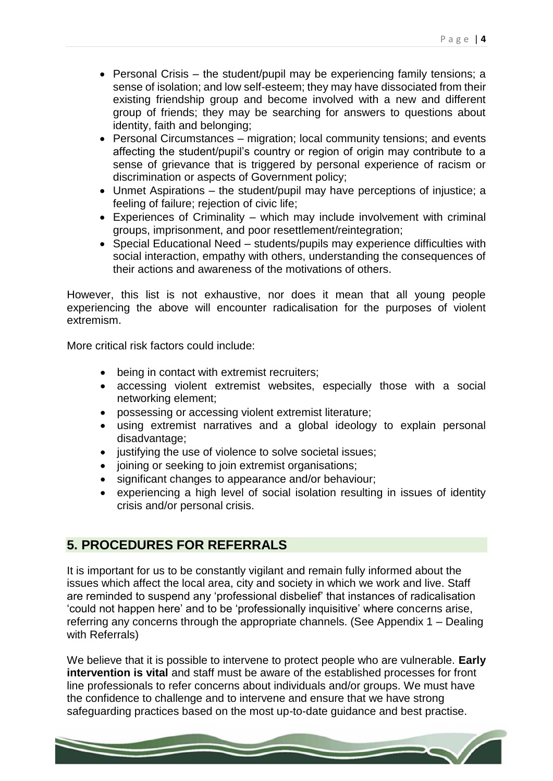- Personal Crisis the student/pupil may be experiencing family tensions; a sense of isolation; and low self-esteem; they may have dissociated from their existing friendship group and become involved with a new and different group of friends; they may be searching for answers to questions about identity, faith and belonging;
- Personal Circumstances migration; local community tensions; and events affecting the student/pupil's country or region of origin may contribute to a sense of grievance that is triggered by personal experience of racism or discrimination or aspects of Government policy;
- Unmet Aspirations the student/pupil may have perceptions of injustice; a feeling of failure; rejection of civic life;
- Experiences of Criminality which may include involvement with criminal groups, imprisonment, and poor resettlement/reintegration;
- Special Educational Need students/pupils may experience difficulties with social interaction, empathy with others, understanding the consequences of their actions and awareness of the motivations of others.

However, this list is not exhaustive, nor does it mean that all young people experiencing the above will encounter radicalisation for the purposes of violent extremism.

More critical risk factors could include:

- being in contact with extremist recruiters;
- accessing violent extremist websites, especially those with a social networking element;
- possessing or accessing violent extremist literature;
- using extremist narratives and a global ideology to explain personal disadvantage;
- justifying the use of violence to solve societal issues;
- joining or seeking to join extremist organisations;
- significant changes to appearance and/or behaviour;
- experiencing a high level of social isolation resulting in issues of identity crisis and/or personal crisis.

## **5. PROCEDURES FOR REFERRALS**

It is important for us to be constantly vigilant and remain fully informed about the issues which affect the local area, city and society in which we work and live. Staff are reminded to suspend any 'professional disbelief' that instances of radicalisation 'could not happen here' and to be 'professionally inquisitive' where concerns arise, referring any concerns through the appropriate channels. (See Appendix 1 – Dealing with Referrals)

We believe that it is possible to intervene to protect people who are vulnerable. **Early intervention is vital** and staff must be aware of the established processes for front line professionals to refer concerns about individuals and/or groups. We must have the confidence to challenge and to intervene and ensure that we have strong safeguarding practices based on the most up-to-date guidance and best practise.

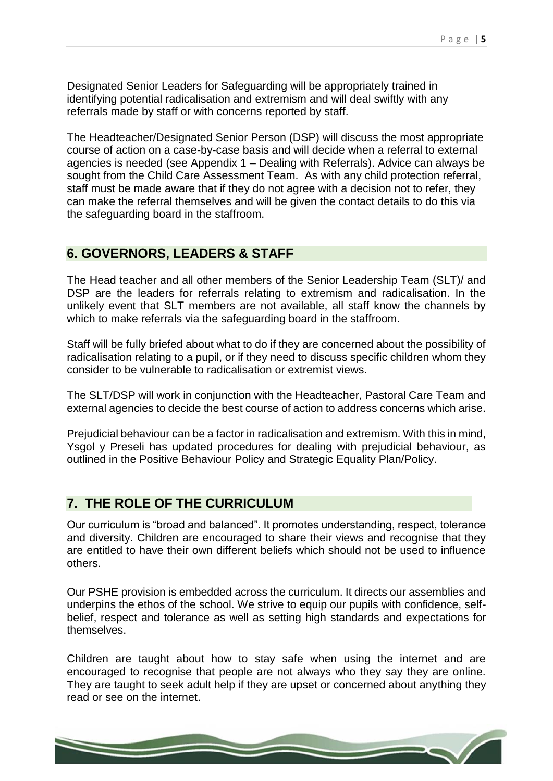Designated Senior Leaders for Safeguarding will be appropriately trained in identifying potential radicalisation and extremism and will deal swiftly with any referrals made by staff or with concerns reported by staff.

The Headteacher/Designated Senior Person (DSP) will discuss the most appropriate course of action on a case-by-case basis and will decide when a referral to external agencies is needed (see Appendix 1 – Dealing with Referrals). Advice can always be sought from the Child Care Assessment Team. As with any child protection referral, staff must be made aware that if they do not agree with a decision not to refer, they can make the referral themselves and will be given the contact details to do this via the safeguarding board in the staffroom.

#### **6. GOVERNORS, LEADERS & STAFF**

The Head teacher and all other members of the Senior Leadership Team (SLT)/ and DSP are the leaders for referrals relating to extremism and radicalisation. In the unlikely event that SLT members are not available, all staff know the channels by which to make referrals via the safeguarding board in the staffroom.

Staff will be fully briefed about what to do if they are concerned about the possibility of radicalisation relating to a pupil, or if they need to discuss specific children whom they consider to be vulnerable to radicalisation or extremist views.

The SLT/DSP will work in conjunction with the Headteacher, Pastoral Care Team and external agencies to decide the best course of action to address concerns which arise.

Prejudicial behaviour can be a factor in radicalisation and extremism. With this in mind, Ysgol y Preseli has updated procedures for dealing with prejudicial behaviour, as outlined in the Positive Behaviour Policy and Strategic Equality Plan/Policy.

## **7. THE ROLE OF THE CURRICULUM**

Our curriculum is "broad and balanced". It promotes understanding, respect, tolerance and diversity. Children are encouraged to share their views and recognise that they are entitled to have their own different beliefs which should not be used to influence others.

Our PSHE provision is embedded across the curriculum. It directs our assemblies and underpins the ethos of the school. We strive to equip our pupils with confidence, selfbelief, respect and tolerance as well as setting high standards and expectations for themselves.

Children are taught about how to stay safe when using the internet and are encouraged to recognise that people are not always who they say they are online. They are taught to seek adult help if they are upset or concerned about anything they read or see on the internet.

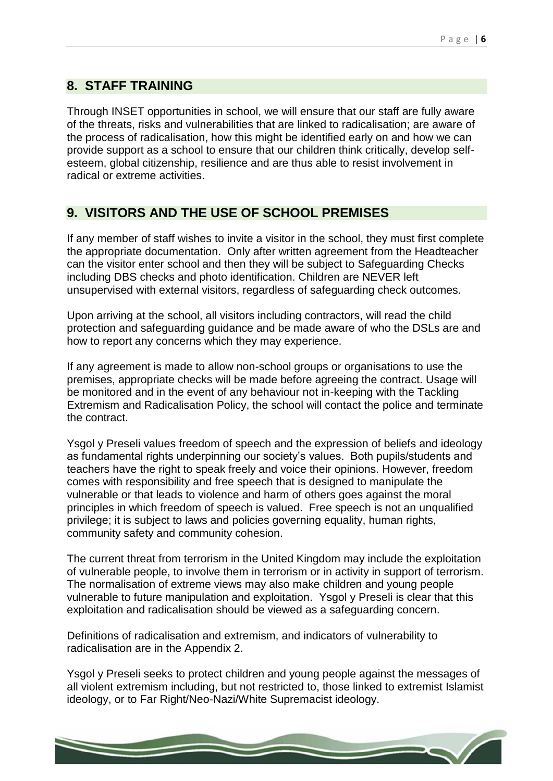## **8. STAFF TRAINING**

Through INSET opportunities in school, we will ensure that our staff are fully aware of the threats, risks and vulnerabilities that are linked to radicalisation; are aware of the process of radicalisation, how this might be identified early on and how we can provide support as a school to ensure that our children think critically, develop selfesteem, global citizenship, resilience and are thus able to resist involvement in radical or extreme activities.

## **9. VISITORS AND THE USE OF SCHOOL PREMISES**

If any member of staff wishes to invite a visitor in the school, they must first complete the appropriate documentation. Only after written agreement from the Headteacher can the visitor enter school and then they will be subject to Safeguarding Checks including DBS checks and photo identification. Children are NEVER left unsupervised with external visitors, regardless of safeguarding check outcomes.

Upon arriving at the school, all visitors including contractors, will read the child protection and safeguarding guidance and be made aware of who the DSLs are and how to report any concerns which they may experience.

If any agreement is made to allow non-school groups or organisations to use the premises, appropriate checks will be made before agreeing the contract. Usage will be monitored and in the event of any behaviour not in-keeping with the Tackling Extremism and Radicalisation Policy, the school will contact the police and terminate the contract.

Ysgol y Preseli values freedom of speech and the expression of beliefs and ideology as fundamental rights underpinning our society's values. Both pupils/students and teachers have the right to speak freely and voice their opinions. However, freedom comes with responsibility and free speech that is designed to manipulate the vulnerable or that leads to violence and harm of others goes against the moral principles in which freedom of speech is valued. Free speech is not an unqualified privilege; it is subject to laws and policies governing equality, human rights, community safety and community cohesion.

The current threat from terrorism in the United Kingdom may include the exploitation of vulnerable people, to involve them in terrorism or in activity in support of terrorism. The normalisation of extreme views may also make children and young people vulnerable to future manipulation and exploitation. Ysgol y Preseli is clear that this exploitation and radicalisation should be viewed as a safeguarding concern.

Definitions of radicalisation and extremism, and indicators of vulnerability to radicalisation are in the Appendix 2.

Ysgol y Preseli seeks to protect children and young people against the messages of all violent extremism including, but not restricted to, those linked to extremist Islamist ideology, or to Far Right/Neo-Nazi/White Supremacist ideology.

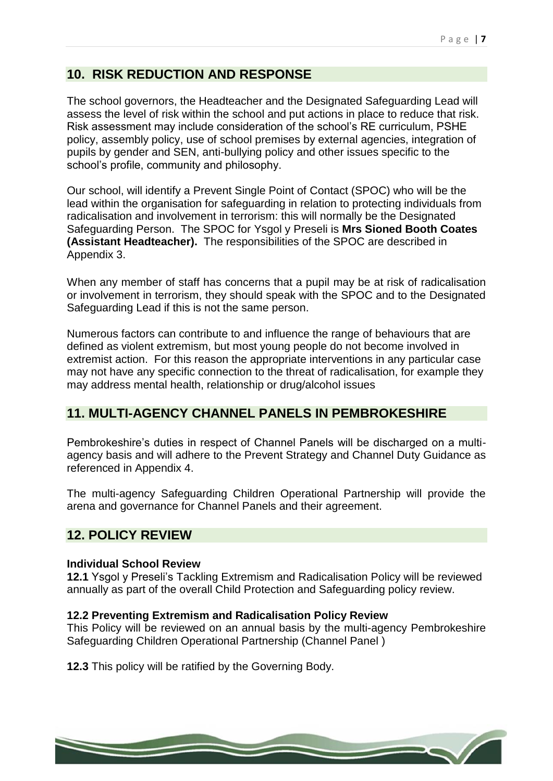# **10. RISK REDUCTION AND RESPONSE**

The school governors, the Headteacher and the Designated Safeguarding Lead will assess the level of risk within the school and put actions in place to reduce that risk. Risk assessment may include consideration of the school's RE curriculum, PSHE policy, assembly policy, use of school premises by external agencies, integration of pupils by gender and SEN, anti-bullying policy and other issues specific to the school's profile, community and philosophy.

Our school, will identify a Prevent Single Point of Contact (SPOC) who will be the lead within the organisation for safeguarding in relation to protecting individuals from radicalisation and involvement in terrorism: this will normally be the Designated Safeguarding Person. The SPOC for Ysgol y Preseli is **Mrs Sioned Booth Coates (Assistant Headteacher).** The responsibilities of the SPOC are described in Appendix 3.

When any member of staff has concerns that a pupil may be at risk of radicalisation or involvement in terrorism, they should speak with the SPOC and to the Designated Safeguarding Lead if this is not the same person.

Numerous factors can contribute to and influence the range of behaviours that are defined as violent extremism, but most young people do not become involved in extremist action. For this reason the appropriate interventions in any particular case may not have any specific connection to the threat of radicalisation, for example they may address mental health, relationship or drug/alcohol issues

## **11. MULTI-AGENCY CHANNEL PANELS IN PEMBROKESHIRE**

Pembrokeshire's duties in respect of Channel Panels will be discharged on a multiagency basis and will adhere to the Prevent Strategy and Channel Duty Guidance as referenced in Appendix 4.

The multi-agency Safeguarding Children Operational Partnership will provide the arena and governance for Channel Panels and their agreement.

#### **12. POLICY REVIEW**

#### **Individual School Review**

**12.1** Ysgol y Preseli's Tackling Extremism and Radicalisation Policy will be reviewed annually as part of the overall Child Protection and Safeguarding policy review.

#### **12.2 Preventing Extremism and Radicalisation Policy Review**

This Policy will be reviewed on an annual basis by the multi-agency Pembrokeshire Safeguarding Children Operational Partnership (Channel Panel )

**12.3** This policy will be ratified by the Governing Body.